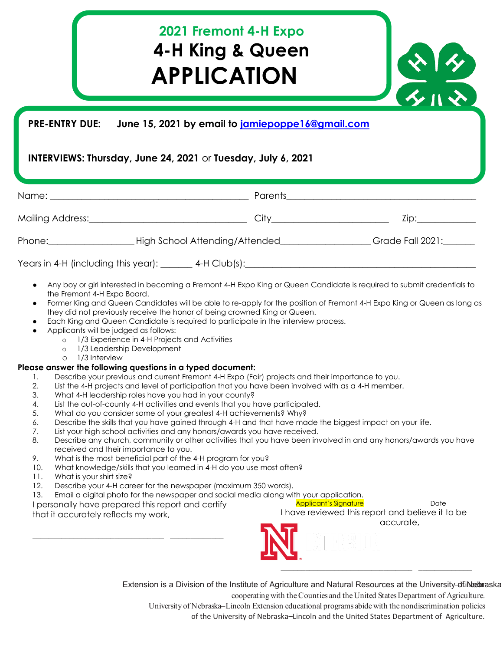## **2021 Fremont 4-H Expo 4-H King & Queen APPLICATION**

## **PRE-ENTRY DUE: June 15, 2021 by email to jamiepoppe16@gmail.com**

## **INTERVIEWS: Thursday, June 24, 2021** or **Tuesday, July 6, 2021**

|            | Parents                        | <u> 1980 - Jan Sarajević, politički predsjednik i politički predsjednik i politički predsjednik i politički preds</u>                                                                                                          |
|------------|--------------------------------|--------------------------------------------------------------------------------------------------------------------------------------------------------------------------------------------------------------------------------|
|            | City <u>______________</u>     | Zip: the contract of the contract of the contract of the contract of the contract of the contract of the contract of the contract of the contract of the contract of the contract of the contract of the contract of the contr |
| $Phone:\_$ | High School Attending/Attended | Grade Fall 2021:                                                                                                                                                                                                               |
|            |                                |                                                                                                                                                                                                                                |

- Any boy or girl interested in becoming a Fremont 4-H Expo King or Queen Candidate is required to submit credentials to the Fremont 4-H Expo Board.
- Former King and Queen Candidates will be able to re-apply for the position of Fremont 4-H Expo King or Queen as long as they did not previously receive the honor of being crowned King or Queen.
- Each King and Queen Candidate is required to participate in the interview process.
- Applicants will be judged as follows:
	- o 1/3 Experience in 4-H Projects and Activities
	- o 1/3 Leadership Development
	- o 1/3 Interview

## **Please answer the following questions in a typed document:**

- 1. Describe your previous and current Fremont 4-H Expo (Fair) projects and their importance to you.<br>2. List the 4-H projects and level of participation that you have been involved with as a 4-H member
- List the 4-H projects and level of participation that you have been involved with as a 4-H member.
- 3. What 4-H leadership roles have you had in your county?
- 4. List the out-of-county 4-H activities and events that you have participated.
- 5. What do you consider some of your greatest 4-H achievements? Why?
- 6. Describe the skills that you have gained through 4-H and that have made the biggest impact on your life.
- 7. List your high school activities and any honors/awards you have received.
- 8. Describe any church, community or other activities that you have been involved in and any honors/awards you have received and their importance to you.
- 9. What is the most beneficial part of the 4-H program for you?
- 10. What knowledge/skills that you learned in 4-H do you use most often?
- 11. What is your shirt size?
- 12. Describe your 4-H career for the newspaper (maximum 350 words).
- 13. Email a digital photo for the newspaper and social media along with your application.

I personally have prepared this report and certify that it accurately reflects my work,

\_\_\_\_\_\_\_\_\_\_\_\_\_\_\_\_\_\_\_\_\_\_\_\_\_\_\_\_\_\_\_\_ \_\_\_\_\_\_\_\_\_\_\_\_\_

Applicant's Signature **Date** Date I have reviewed this report and believe it to be accurate,

 $\frac{x+y}{z}$ 



Extension is a Division of the Institute of Agriculture and Natural Resources at the University-dfinke braska

cooperating with the Counties and the United States Department of Agriculture. University of Nebraska–Lincoln Extension educational programs abide with the nondiscrimination policies

of the University of Nebraska–Lincoln and the United States Department of Agriculture.